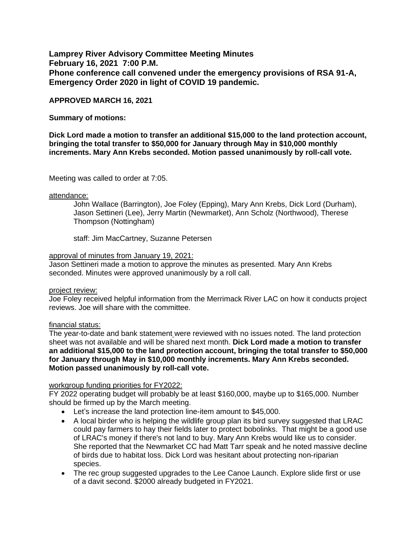**Lamprey River Advisory Committee Meeting Minutes February 16, 2021 7:00 P.M. Phone conference call convened under the emergency provisions of RSA 91-A, Emergency Order 2020 in light of COVID 19 pandemic.** 

# **APPROVED MARCH 16, 2021**

## **Summary of motions:**

**Dick Lord made a motion to transfer an additional \$15,000 to the land protection account, bringing the total transfer to \$50,000 for January through May in \$10,000 monthly increments. Mary Ann Krebs seconded. Motion passed unanimously by roll-call vote.** 

Meeting was called to order at 7:05.

#### attendance:

John Wallace (Barrington), Joe Foley (Epping), Mary Ann Krebs, Dick Lord (Durham), Jason Settineri (Lee), Jerry Martin (Newmarket), Ann Scholz (Northwood), Therese Thompson (Nottingham)

staff: Jim MacCartney, Suzanne Petersen

#### approval of minutes from January 19, 2021:

Jason Settineri made a motion to approve the minutes as presented. Mary Ann Krebs seconded. Minutes were approved unanimously by a roll call.

### project review:

Joe Foley received helpful information from the Merrimack River LAC on how it conducts project reviews. Joe will share with the committee.

### financial status:

The year-to-date and bank statement were reviewed with no issues noted. The land protection sheet was not available and will be shared next month. **Dick Lord made a motion to transfer an additional \$15,000 to the land protection account, bringing the total transfer to \$50,000 for January through May in \$10,000 monthly increments. Mary Ann Krebs seconded. Motion passed unanimously by roll-call vote.** 

# workgroup funding priorities for FY2022:

FY 2022 operating budget will probably be at least \$160,000, maybe up to \$165,000. Number should be firmed up by the March meeting.

- Let's increase the land protection line-item amount to \$45,000.
- A local birder who is helping the wildlife group plan its bird survey suggested that LRAC could pay farmers to hay their fields later to protect bobolinks. That might be a good use of LRAC's money if there's not land to buy. Mary Ann Krebs would like us to consider. She reported that the Newmarket CC had Matt Tarr speak and he noted massive decline of birds due to habitat loss. Dick Lord was hesitant about protecting non-riparian species.
- The rec group suggested upgrades to the Lee Canoe Launch. Explore slide first or use of a davit second. \$2000 already budgeted in FY2021.